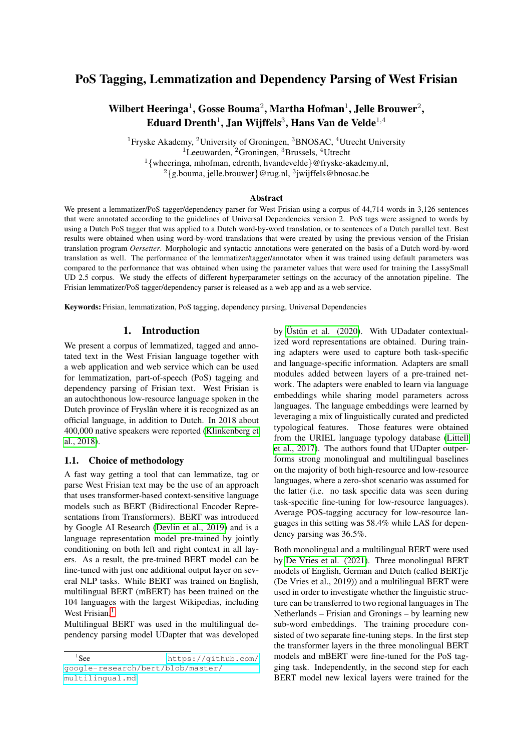## PoS Tagging, Lemmatization and Dependency Parsing of West Frisian

# Wilbert Heeringa $^1$ , Gosse Bouma $^2$ , Martha Hofman $^1$ , Jelle Brouwer $^2$ , Eduard Drenth $^1$ , Jan Wijffels $^3$ , Hans Van de Velde $^{1,4}$

<sup>1</sup>Fryske Akademy, <sup>2</sup>University of Groningen, <sup>3</sup>BNOSAC, <sup>4</sup>Utrecht University <sup>1</sup>Leeuwarden, <sup>2</sup>Groningen, <sup>3</sup>Brussels, <sup>4</sup>Utrecht <sup>1</sup>{wheeringa, mhofman, edrenth, hvandevelde}@fryske-akademy.nl,  $2\{$ g.bouma, jelle.brouwer}@rug.nl,  $3$ jwijffels@bnosac.be

#### Abstract

We present a lemmatizer/PoS tagger/dependency parser for West Frisian using a corpus of 44,714 words in 3,126 sentences that were annotated according to the guidelines of Universal Dependencies version 2. PoS tags were assigned to words by using a Dutch PoS tagger that was applied to a Dutch word-by-word translation, or to sentences of a Dutch parallel text. Best results were obtained when using word-by-word translations that were created by using the previous version of the Frisian translation program *Oersetter*. Morphologic and syntactic annotations were generated on the basis of a Dutch word-by-word translation as well. The performance of the lemmatizer/tagger/annotator when it was trained using default parameters was compared to the performance that was obtained when using the parameter values that were used for training the LassySmall UD 2.5 corpus. We study the effects of different hyperparameter settings on the accuracy of the annotation pipeline. The Frisian lemmatizer/PoS tagger/dependency parser is released as a web app and as a web service.

Keywords: Frisian, lemmatization, PoS tagging, dependency parsing, Universal Dependencies

## 1. Introduction

We present a corpus of lemmatized, tagged and annotated text in the West Frisian language together with a web application and web service which can be used for lemmatization, part-of-speech (PoS) tagging and dependency parsing of Frisian text. West Frisian is an autochthonous low-resource language spoken in the Dutch province of Fryslân where it is recognized as an official language, in addition to Dutch. In 2018 about 400,000 native speakers were reported [\(Klinkenberg et](#page-8-0) [al., 2018\)](#page-8-0).

#### 1.1. Choice of methodology

A fast way getting a tool that can lemmatize, tag or parse West Frisian text may be the use of an approach that uses transformer-based context-sensitive language models such as BERT (Bidirectional Encoder Representations from Transformers). BERT was introduced by Google AI Research [\(Devlin et al., 2019\)](#page-8-1) and is a language representation model pre-trained by jointly conditioning on both left and right context in all layers. As a result, the pre-trained BERT model can be fine-tuned with just one additional output layer on several NLP tasks. While BERT was trained on English, multilingual BERT (mBERT) has been trained on the 104 languages with the largest Wikipedias, including West Frisian.<sup>[1](#page-0-0)</sup>

Multilingual BERT was used in the multilingual dependency parsing model UDapter that was developed by Üstün et al.  $(2020)$ . With UDadater contextualized word representations are obtained. During training adapters were used to capture both task-specific and language-specific information. Adapters are small modules added between layers of a pre-trained network. The adapters were enabled to learn via language embeddings while sharing model parameters across languages. The language embeddings were learned by leveraging a mix of linguistically curated and predicted typological features. Those features were obtained from the URIEL language typology database [\(Littell](#page-8-3) [et al., 2017\)](#page-8-3). The authors found that UDapter outperforms strong monolingual and multilingual baselines on the majority of both high-resource and low-resource languages, where a zero-shot scenario was assumed for the latter (i.e. no task specific data was seen during task-specific fine-tuning for low-resource languages). Average POS-tagging accuracy for low-resource languages in this setting was 58.4% while LAS for dependency parsing was 36.5%.

Both monolingual and a multilingual BERT were used by [De Vries et al. \(2021\)](#page-8-4). Three monolingual BERT models of English, German and Dutch (called BERTje (De Vries et al., 2019)) and a multilingual BERT were used in order to investigate whether the linguistic structure can be transferred to two regional languages in The Netherlands – Frisian and Gronings – by learning new sub-word embeddings. The training procedure consisted of two separate fine-tuning steps. In the first step the transformer layers in the three monolingual BERT models and mBERT were fine-tuned for the PoS tagging task. Independently, in the second step for each BERT model new lexical layers were trained for the

<span id="page-0-0"></span> $1$ See https://qithub.com/ [google-research/bert/blob/master/](https://github.com/google-research/bert/blob/master/multilingual.md) [multilingual.md](https://github.com/google-research/bert/blob/master/multilingual.md).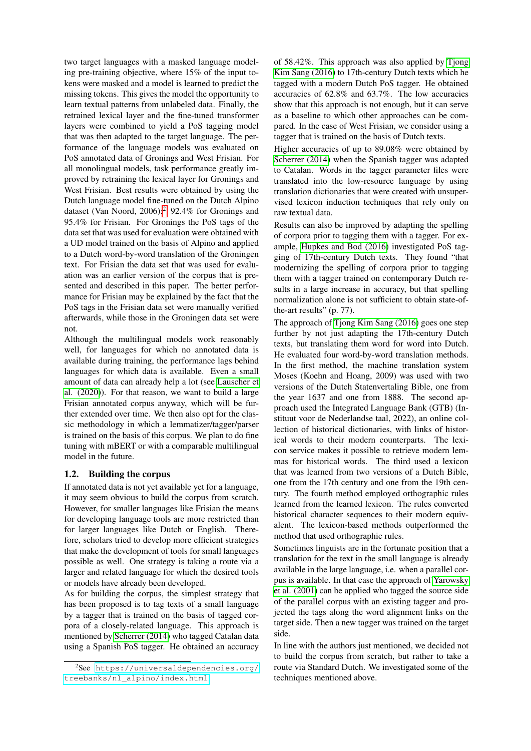two target languages with a masked language modeling pre-training objective, where 15% of the input tokens were masked and a model is learned to predict the missing tokens. This gives the model the opportunity to learn textual patterns from unlabeled data. Finally, the retrained lexical layer and the fine-tuned transformer layers were combined to yield a PoS tagging model that was then adapted to the target language. The performance of the language models was evaluated on PoS annotated data of Gronings and West Frisian. For all monolingual models, task performance greatly improved by retraining the lexical layer for Gronings and West Frisian. Best results were obtained by using the Dutch language model fine-tuned on the Dutch Alpino dataset (Van Noord, [2](#page-1-0)006):<sup>2</sup> 92.4% for Gronings and 95.4% for Frisian. For Gronings the PoS tags of the data set that was used for evaluation were obtained with a UD model trained on the basis of Alpino and applied to a Dutch word-by-word translation of the Groningen text. For Frisian the data set that was used for evaluation was an earlier version of the corpus that is presented and described in this paper. The better performance for Frisian may be explained by the fact that the PoS tags in the Frisian data set were manually verified afterwards, while those in the Groningen data set were not.

Although the multilingual models work reasonably well, for languages for which no annotated data is available during training, the performance lags behind languages for which data is available. Even a small amount of data can already help a lot (see [Lauscher et](#page-8-5) [al. \(2020\)](#page-8-5)). For that reason, we want to build a large Frisian annotated corpus anyway, which will be further extended over time. We then also opt for the classic methodology in which a lemmatizer/tagger/parser is trained on the basis of this corpus. We plan to do fine tuning with mBERT or with a comparable multilingual model in the future.

## 1.2. Building the corpus

If annotated data is not yet available yet for a language, it may seem obvious to build the corpus from scratch. However, for smaller languages like Frisian the means for developing language tools are more restricted than for larger languages like Dutch or English. Therefore, scholars tried to develop more efficient strategies that make the development of tools for small languages possible as well. One strategy is taking a route via a larger and related language for which the desired tools or models have already been developed.

As for building the corpus, the simplest strategy that has been proposed is to tag texts of a small language by a tagger that is trained on the basis of tagged corpora of a closely-related language. This approach is mentioned by [Scherrer \(2014\)](#page-8-6) who tagged Catalan data using a Spanish PoS tagger. He obtained an accuracy

of 58.42%. This approach was also applied by [Tjong](#page-8-7) [Kim Sang \(2016\)](#page-8-7) to 17th-century Dutch texts which he tagged with a modern Dutch PoS tagger. He obtained accuracies of 62.8% and 63.7%. The low accuracies show that this approach is not enough, but it can serve as a baseline to which other approaches can be compared. In the case of West Frisian, we consider using a tagger that is trained on the basis of Dutch texts.

Higher accuracies of up to 89.08% were obtained by [Scherrer \(2014\)](#page-8-6) when the Spanish tagger was adapted to Catalan. Words in the tagger parameter files were translated into the low-resource language by using translation dictionaries that were created with unsupervised lexicon induction techniques that rely only on raw textual data.

Results can also be improved by adapting the spelling of corpora prior to tagging them with a tagger. For example, [Hupkes and Bod \(2016\)](#page-8-8) investigated PoS tagging of 17th-century Dutch texts. They found "that modernizing the spelling of corpora prior to tagging them with a tagger trained on contemporary Dutch results in a large increase in accuracy, but that spelling normalization alone is not sufficient to obtain state-ofthe-art results" (p. 77).

The approach of [Tjong Kim Sang \(2016\)](#page-8-7) goes one step further by not just adapting the 17th-century Dutch texts, but translating them word for word into Dutch. He evaluated four word-by-word translation methods. In the first method, the machine translation system Moses (Koehn and Hoang, 2009) was used with two versions of the Dutch Statenvertaling Bible, one from the year 1637 and one from 1888. The second approach used the Integrated Language Bank (GTB) (Instituut voor de Nederlandse taal, 2022), an online collection of historical dictionaries, with links of historical words to their modern counterparts. The lexicon service makes it possible to retrieve modern lemmas for historical words. The third used a lexicon that was learned from two versions of a Dutch Bible, one from the 17th century and one from the 19th century. The fourth method employed orthographic rules learned from the learned lexicon. The rules converted historical character sequences to their modern equivalent. The lexicon-based methods outperformed the method that used orthographic rules.

Sometimes linguists are in the fortunate position that a translation for the text in the small language is already available in the large language, i.e. when a parallel corpus is available. In that case the approach of [Yarowsky](#page-8-9) [et al. \(2001\)](#page-8-9) can be applied who tagged the source side of the parallel corpus with an existing tagger and projected the tags along the word alignment links on the target side. Then a new tagger was trained on the target side.

In line with the authors just mentioned, we decided not to build the corpus from scratch, but rather to take a route via Standard Dutch. We investigated some of the techniques mentioned above.

<span id="page-1-0"></span><sup>2</sup> See [https://universaldependencies.org/](https://universaldependencies.org/treebanks/nl_alpino/index.html) [treebanks/nl\\_alpino/index.html](https://universaldependencies.org/treebanks/nl_alpino/index.html).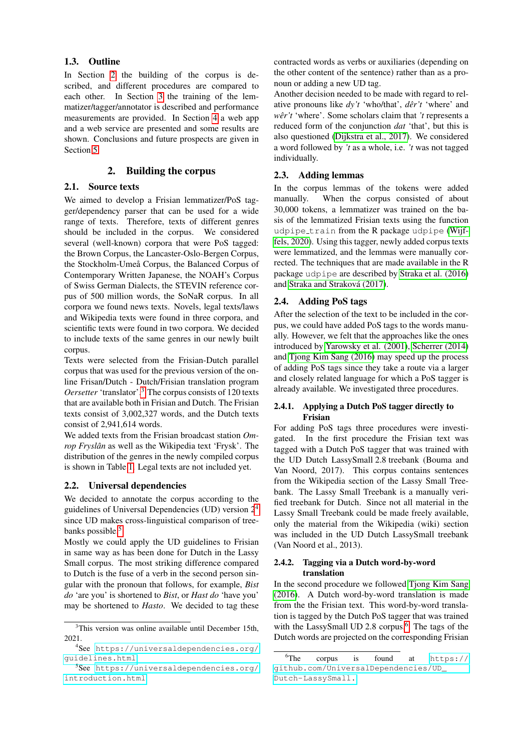#### 1.3. Outline

In Section [2](#page-2-0) the building of the corpus is described, and different procedures are compared to each other. In Section [3](#page-4-0) the training of the lemmatizer/tagger/annotator is described and performance measurements are provided. In Section [4](#page-6-0) a web app and a web service are presented and some results are shown. Conclusions and future prospects are given in Section [5.](#page-6-1)

## 2. Building the corpus

#### <span id="page-2-0"></span>2.1. Source texts

We aimed to develop a Frisian lemmatizer/PoS tagger/dependency parser that can be used for a wide range of texts. Therefore, texts of different genres should be included in the corpus. We considered several (well-known) corpora that were PoS tagged: the Brown Corpus, the Lancaster-Oslo-Bergen Corpus, the Stockholm-Umeå Corpus, the Balanced Corpus of Contemporary Written Japanese, the NOAH's Corpus of Swiss German Dialects, the STEVIN reference corpus of 500 million words, the SoNaR corpus. In all corpora we found news texts. Novels, legal texts/laws and Wikipedia texts were found in three corpora, and scientific texts were found in two corpora. We decided to include texts of the same genres in our newly built corpus.

Texts were selected from the Frisian-Dutch parallel corpus that was used for the previous version of the online Frisan/Dutch - Dutch/Frisian translation program *Oersetter* 'translator'.[3](#page-2-1) The corpus consists of 120 texts that are available both in Frisian and Dutch. The Frisian texts consist of 3,002,327 words, and the Dutch texts consist of 2,941,614 words.

We added texts from the Frisian broadcast station *Omrop Fryslân* as well as the Wikipedia text 'Frysk'. The distribution of the genres in the newly compiled corpus is shown in Table [1.](#page-3-0) Legal texts are not included yet.

## 2.2. Universal dependencies

We decided to annotate the corpus according to the guidelines of Universal Dependencies (UD) version  $2<sup>4</sup>$  $2<sup>4</sup>$  $2<sup>4</sup>$ since UD makes cross-linguistical comparison of tree-banks possible.<sup>[5](#page-2-3)</sup>

Mostly we could apply the UD guidelines to Frisian in same way as has been done for Dutch in the Lassy Small corpus. The most striking difference compared to Dutch is the fuse of a verb in the second person singular with the pronoun that follows, for example, *Bist do* 'are you' is shortened to *Bist*, or *Hast do* 'have you' may be shortened to *Hasto*. We decided to tag these

contracted words as verbs or auxiliaries (depending on the other content of the sentence) rather than as a pronoun or adding a new UD tag.

Another decision needed to be made with regard to relative pronouns like *dy't* 'who/that', *der't ˆ* 'where' and *wer't ˆ* 'where'. Some scholars claim that *'t* represents a reduced form of the conjunction *dat* 'that', but this is also questioned [\(Dijkstra et al., 2017\)](#page-8-10). We considered a word followed by *'t* as a whole, i.e. *'t* was not tagged individually.

## 2.3. Adding lemmas

In the corpus lemmas of the tokens were added manually. When the corpus consisted of about 30,000 tokens, a lemmatizer was trained on the basis of the lemmatized Frisian texts using the function udpipe train from the R package udpipe [\(Wijf](#page-8-11)[fels, 2020\)](#page-8-11). Using this tagger, newly added corpus texts were lemmatized, and the lemmas were manually corrected. The techniques that are made available in the R package udpipe are described by [Straka et al. \(2016\)](#page-8-12) and Straka and Straková (2017).

## 2.4. Adding PoS tags

After the selection of the text to be included in the corpus, we could have added PoS tags to the words manually. However, we felt that the approaches like the ones introduced by [Yarowsky et al. \(2001\)](#page-8-9), [Scherrer \(2014\)](#page-8-6) and [Tjong Kim Sang \(2016\)](#page-8-7) may speed up the process of adding PoS tags since they take a route via a larger and closely related language for which a PoS tagger is already available. We investigated three procedures.

### 2.4.1. Applying a Dutch PoS tagger directly to Frisian

For adding PoS tags three procedures were investigated. In the first procedure the Frisian text was tagged with a Dutch PoS tagger that was trained with the UD Dutch LassySmall 2.8 treebank (Bouma and Van Noord, 2017). This corpus contains sentences from the Wikipedia section of the Lassy Small Treebank. The Lassy Small Treebank is a manually verified treebank for Dutch. Since not all material in the Lassy Small Treebank could be made freely available, only the material from the Wikipedia (wiki) section was included in the UD Dutch LassySmall treebank (Van Noord et al., 2013).

#### 2.4.2. Tagging via a Dutch word-by-word translation

In the second procedure we followed [Tjong Kim Sang](#page-8-7) [\(2016\)](#page-8-7). A Dutch word-by-word translation is made from the the Frisian text. This word-by-word translation is tagged by the Dutch PoS tagger that was trained with the LassySmall UD 2.8 corpus. $6$  The tags of the Dutch words are projected on the corresponding Frisian

<span id="page-2-1"></span><sup>&</sup>lt;sup>3</sup>This version was online available until December 15th, 2021.

<span id="page-2-2"></span><sup>4</sup> See [https://universaldependencies.org/](https://universaldependencies.org/guidelines.html) [guidelines.html](https://universaldependencies.org/guidelines.html).

<span id="page-2-3"></span><sup>5</sup> See [https://universaldependencies.org/](https://universaldependencies.org/introduction.html) [introduction.html](https://universaldependencies.org/introduction.html).

<span id="page-2-4"></span> ${}^{6}$ The corpus is found at [https://](https://github.com/Universal Dependencies/UD_Dutch-LassySmall.) [github.com/UniversalDependencies/UD\\_](https://github.com/Universal Dependencies/UD_Dutch-LassySmall.) [Dutch-LassySmall.](https://github.com/Universal Dependencies/UD_Dutch-LassySmall.)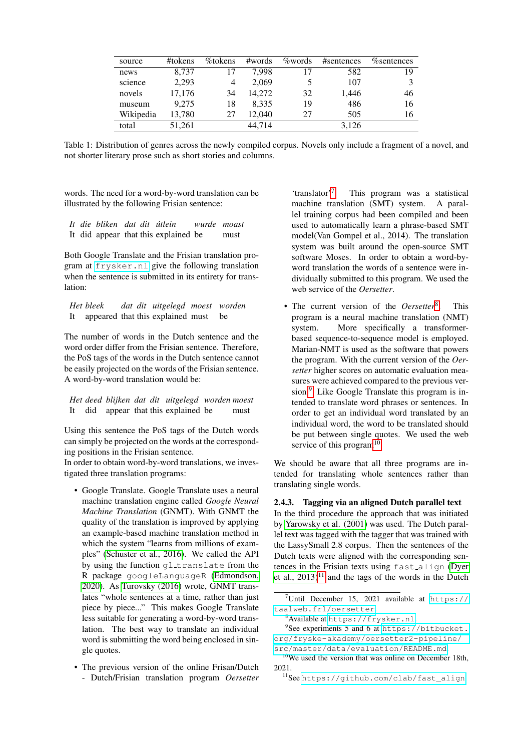| source    | #tokens | %tokens | #words | <i>%</i> words | #sentences | <i>n</i> / <sub>osentences</sub> |
|-----------|---------|---------|--------|----------------|------------|----------------------------------|
| news      | 8.737   |         | 7.998  |                | 582        | 19                               |
| science   | 2,293   | 4       | 2,069  | 5              | 107        | 3                                |
| novels    | 17,176  | 34      | 14.272 | 32             | 1,446      | 46                               |
| museum    | 9.275   | 18      | 8.335  | 19             | 486        | 16                               |
| Wikipedia | 13,780  | 27      | 12,040 | 27             | 505        | 16                               |
| total     | 51,261  |         | 44.714 |                | 3,126      |                                  |

<span id="page-3-0"></span>Table 1: Distribution of genres across the newly compiled corpus. Novels only include a fragment of a novel, and not shorter literary prose such as short stories and columns.

words. The need for a word-by-word translation can be illustrated by the following Frisian sentence:

*It die bliken dat dit utlein wurde moast ´* It did appear that this explained be must

Both Google Translate and the Frisian translation program at <frysker.nl> give the following translation when the sentence is submitted in its entirety for translation:

*Het bleek dat dit uitgelegd moest worden* It appeared that this explained must be

The number of words in the Dutch sentence and the word order differ from the Frisian sentence. Therefore, the PoS tags of the words in the Dutch sentence cannot be easily projected on the words of the Frisian sentence. A word-by-word translation would be:

*Het deed blijken dat dit uitgelegd worden moest* It did appear that this explained be must

Using this sentence the PoS tags of the Dutch words can simply be projected on the words at the corresponding positions in the Frisian sentence.

In order to obtain word-by-word translations, we investigated three translation programs:

- Google Translate. Google Translate uses a neural machine translation engine called *Google Neural Machine Translation* (GNMT). With GNMT the quality of the translation is improved by applying an example-based machine translation method in which the system "learns from millions of examples" [\(Schuster et al., 2016\)](#page-8-14). We called the API by using the function gl\_translate from the R package googleLanguageR [\(Edmondson,](#page-8-15) [2020\)](#page-8-15). As [Turovsky \(2016\)](#page-8-16) wrote, GNMT translates "whole sentences at a time, rather than just piece by piece..." This makes Google Translate less suitable for generating a word-by-word translation. The best way to translate an individual word is submitting the word being enclosed in single quotes.
- The previous version of the online Frisan/Dutch - Dutch/Frisian translation program *Oersetter*

'translator'[7](#page-3-1) . This program was a statistical machine translation (SMT) system. A parallel training corpus had been compiled and been used to automatically learn a phrase-based SMT model(Van Gompel et al., 2014). The translation system was built around the open-source SMT software Moses. In order to obtain a word-byword translation the words of a sentence were individually submitted to this program. We used the web service of the *Oersetter*.

• The current version of the *Oersetter*<sup>[8](#page-3-2)</sup>. . This program is a neural machine translation (NMT) system. More specifically a transformerbased sequence-to-sequence model is employed. Marian-NMT is used as the software that powers the program. With the current version of the *Oersetter* higher scores on automatic evaluation measures were achieved compared to the previous ver-sion.<sup>[9](#page-3-3)</sup> Like Google Translate this program is intended to translate word phrases or sentences. In order to get an individual word translated by an individual word, the word to be translated should be put between single quotes. We used the web service of this program $10$ 

We should be aware that all three programs are intended for translating whole sentences rather than translating single words.

#### 2.4.3. Tagging via an aligned Dutch parallel text

In the third procedure the approach that was initiated by [Yarowsky et al. \(2001\)](#page-8-9) was used. The Dutch parallel text was tagged with the tagger that was trained with the LassySmall 2.8 corpus. Then the sentences of the Dutch texts were aligned with the corresponding sentences in the Frisian texts using fast align [\(Dyer](#page-8-17) et al.,  $2013$ <sup>[11](#page-3-5)</sup> and the tags of the words in the Dutch

<span id="page-3-5"></span><sup>11</sup>See [https://github.com/clab/fast\\_align](https://github.com/clab/fast_align).

<span id="page-3-1"></span><sup>&</sup>lt;sup>7</sup>Until December 15, 2021 available at [https://](https://taalweb.frl/oersetter) [taalweb.frl/oersetter](https://taalweb.frl/oersetter).

<span id="page-3-3"></span><span id="page-3-2"></span><sup>8</sup>Available at <https://frysker.nl>.

<sup>&</sup>lt;sup>9</sup>See experiments 5 and 6 at [https://bitbucket.](https://bitbucket.org/fryske-akademy/oersetter2-pipeline/src/master/data/evaluation/README.md) [org/fryske-akademy/oersetter2-pipeline/](https://bitbucket.org/fryske-akademy/oersetter2-pipeline/src/master/data/evaluation/README.md) [src/master/data/evaluation/README.md](https://bitbucket.org/fryske-akademy/oersetter2-pipeline/src/master/data/evaluation/README.md).

<span id="page-3-4"></span><sup>&</sup>lt;sup>10</sup>We used the version that was online on December 18th, 2021.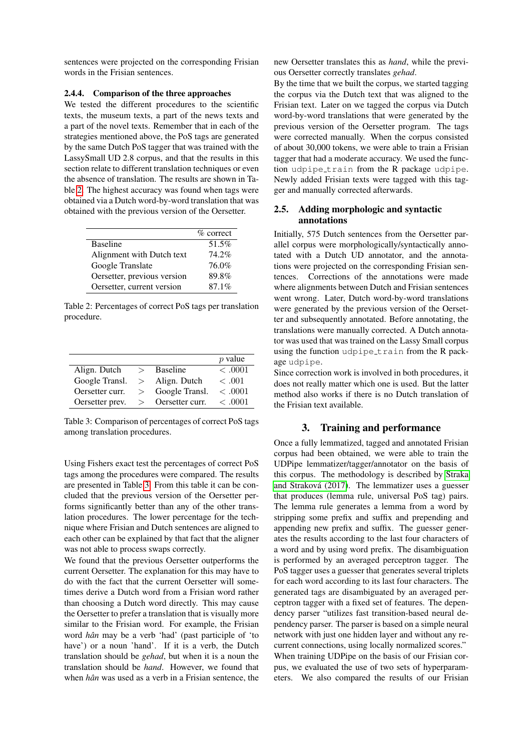sentences were projected on the corresponding Frisian words in the Frisian sentences.

#### 2.4.4. Comparison of the three approaches

We tested the different procedures to the scientific texts, the museum texts, a part of the news texts and a part of the novel texts. Remember that in each of the strategies mentioned above, the PoS tags are generated by the same Dutch PoS tagger that was trained with the LassySmall UD 2.8 corpus, and that the results in this section relate to different translation techniques or even the absence of translation. The results are shown in Table [2.](#page-4-1) The highest accuracy was found when tags were obtained via a Dutch word-by-word translation that was obtained with the previous version of the Oersetter.

|                             | $\%$ correct |
|-----------------------------|--------------|
| <b>Baseline</b>             | 51.5%        |
| Alignment with Dutch text   | 74.2%        |
| Google Translate            | 76.0%        |
| Oersetter, previous version | 89.8%        |
| Oersetter, current version  | 87.1%        |

<span id="page-4-1"></span>Table 2: Percentages of correct PoS tags per translation procedure.

|                 |               |                     | $p$ value |
|-----------------|---------------|---------------------|-----------|
| Align. Dutch    |               | $>$ Baseline        | < .0001   |
| Google Transl.  | >             | Align. Dutch        | <.001     |
| Oersetter curr. | $\rightarrow$ | Google Transl.      | < 0.001   |
| Oersetter prev. |               | $>$ Oersetter curr. | < .0001   |

<span id="page-4-2"></span>Table 3: Comparison of percentages of correct PoS tags among translation procedures.

Using Fishers exact test the percentages of correct PoS tags among the procedures were compared. The results are presented in Table [3.](#page-4-2) From this table it can be concluded that the previous version of the Oersetter performs significantly better than any of the other translation procedures. The lower percentage for the technique where Frisian and Dutch sentences are aligned to each other can be explained by that fact that the aligner was not able to process swaps correctly.

We found that the previous Oersetter outperforms the current Oersetter. The explanation for this may have to do with the fact that the current Oersetter will sometimes derive a Dutch word from a Frisian word rather than choosing a Dutch word directly. This may cause the Oersetter to prefer a translation that is visually more similar to the Frisian word. For example, the Frisian word *hân* may be a verb 'had' (past participle of 'to have') or a noun 'hand'. If it is a verb, the Dutch translation should be *gehad*, but when it is a noun the translation should be *hand*. However, we found that when *hân* was used as a verb in a Frisian sentence, the new Oersetter translates this as *hand*, while the previous Oersetter correctly translates *gehad*.

By the time that we built the corpus, we started tagging the corpus via the Dutch text that was aligned to the Frisian text. Later on we tagged the corpus via Dutch word-by-word translations that were generated by the previous version of the Oersetter program. The tags were corrected manually. When the corpus consisted of about 30,000 tokens, we were able to train a Frisian tagger that had a moderate accuracy. We used the function udpipe train from the R package udpipe. Newly added Frisian texts were tagged with this tagger and manually corrected afterwards.

## 2.5. Adding morphologic and syntactic annotations

Initially, 575 Dutch sentences from the Oersetter parallel corpus were morphologically/syntactically annotated with a Dutch UD annotator, and the annotations were projected on the corresponding Frisian sentences. Corrections of the annotations were made where alignments between Dutch and Frisian sentences went wrong. Later, Dutch word-by-word translations were generated by the previous version of the Oersetter and subsequently annotated. Before annotating, the translations were manually corrected. A Dutch annotator was used that was trained on the Lassy Small corpus using the function udpipe\_train from the R package udpipe.

Since correction work is involved in both procedures, it does not really matter which one is used. But the latter method also works if there is no Dutch translation of the Frisian text available.

## 3. Training and performance

<span id="page-4-0"></span>Once a fully lemmatized, tagged and annotated Frisian corpus had been obtained, we were able to train the UDPipe lemmatizer/tagger/annotator on the basis of this corpus. The methodology is described by [Straka](#page-8-13) and Straková (2017). The lemmatizer uses a guesser that produces (lemma rule, universal PoS tag) pairs. The lemma rule generates a lemma from a word by stripping some prefix and suffix and prepending and appending new prefix and suffix. The guesser generates the results according to the last four characters of a word and by using word prefix. The disambiguation is performed by an averaged perceptron tagger. The PoS tagger uses a guesser that generates several triplets for each word according to its last four characters. The generated tags are disambiguated by an averaged perceptron tagger with a fixed set of features. The dependency parser "utilizes fast transition-based neural dependency parser. The parser is based on a simple neural network with just one hidden layer and without any recurrent connections, using locally normalized scores." When training UDPipe on the basis of our Frisian corpus, we evaluated the use of two sets of hyperparameters. We also compared the results of our Frisian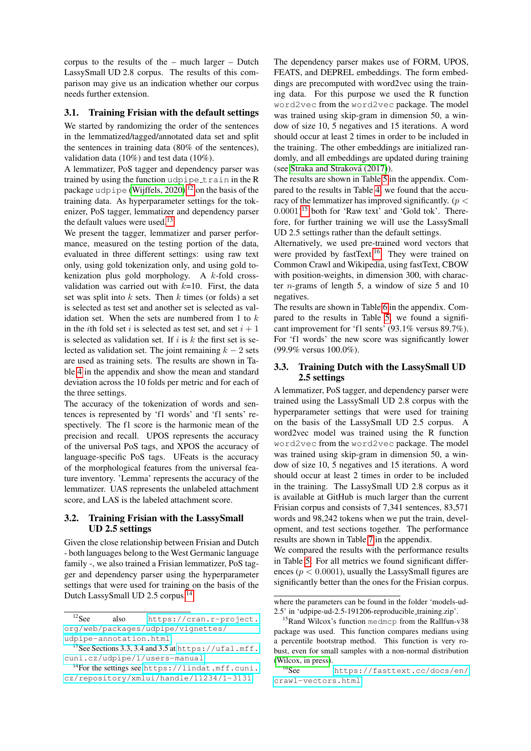corpus to the results of the – much larger – Dutch LassySmall UD 2.8 corpus. The results of this comparison may give us an indication whether our corpus needs further extension.

### <span id="page-5-5"></span>3.1. Training Frisian with the default settings

We started by randomizing the order of the sentences in the lemmatized/tagged/annotated data set and split the sentences in training data (80% of the sentences), validation data (10%) and test data (10%).

A lemmatizer, PoS tagger and dependency parser was trained by using the function udpipe\_train in the R package udpipe [\(Wijffels, 2020\)](#page-8-11)<sup>[12](#page-5-0)</sup> on the basis of the training data. As hyperparameter settings for the tokenizer, PoS tagger, lemmatizer and dependency parser the default values were used.<sup>[13](#page-5-1)</sup>

We present the tagger, lemmatizer and parser performance, measured on the testing portion of the data, evaluated in three different settings: using raw text only, using gold tokenization only, and using gold tokenization plus gold morphology. A k-fold crossvalidation was carried out with  $k=10$ . First, the data set was split into  $k$  sets. Then  $k$  times (or folds) a set is selected as test set and another set is selected as validation set. When the sets are numbered from 1 to  $k$ in the *i*th fold set *i* is selected as test set, and set  $i + 1$ is selected as validation set. If i is k the first set is selected as validation set. The joint remaining  $k - 2$  sets are used as training sets. The results are shown in Table [4](#page-7-0) in the appendix and show the mean and standard deviation across the 10 folds per metric and for each of the three settings.

The accuracy of the tokenization of words and sentences is represented by 'f1 words' and 'f1 sents' respectively. The f1 score is the harmonic mean of the precision and recall. UPOS represents the accuracy of the universal PoS tags, and XPOS the accuracy of language-specific PoS tags. UFeats is the accuracy of the morphological features from the universal feature inventory. 'Lemma' represents the accuracy of the lemmatizer. UAS represents the unlabeled attachment score, and LAS is the labeled attachment score.

#### 3.2. Training Frisian with the LassySmall UD 2.5 settings

Given the close relationship between Frisian and Dutch - both languages belong to the West Germanic language family -, we also trained a Frisian lemmatizer, PoS tagger and dependency parser using the hyperparameter settings that were used for training on the basis of the Dutch LassySmall UD 2.5 corpus.[14](#page-5-2)

The dependency parser makes use of FORM, UPOS, FEATS, and DEPREL embeddings. The form embeddings are precomputed with word2vec using the training data. For this purpose we used the R function word2vec from the word2vec package. The model was trained using skip-gram in dimension 50, a window of size 10, 5 negatives and 15 iterations. A word should occur at least 2 times in order to be included in the training. The other embeddings are initialized randomly, and all embeddings are updated during training (see Straka and Straková (2017)).

The results are shown in Table [5](#page-7-1) in the appendix. Compared to the results in Table [4,](#page-7-0) we found that the accuracy of the lemmatizer has improved significantly. ( $p <$ 0.0001) [15](#page-5-3) both for 'Raw text' and 'Gold tok'. Therefore, for further training we will use the LassySmall UD 2.5 settings rather than the default settings.

Alternatively, we used pre-trained word vectors that were provided by fastText.<sup>[16](#page-5-4)</sup> They were trained on Common Crawl and Wikipedia, using fastText, CBOW with position-weights, in dimension 300, with character  $n$ -grams of length 5, a window of size 5 and 10 negatives.

The results are shown in Table [6](#page-7-2) in the appendix. Compared to the results in Table [5,](#page-7-1) we found a significant improvement for 'f1 sents' (93.1% versus 89.7%). For 'f1 words' the new score was significantly lower (99.9% versus 100.0%).

## 3.3. Training Dutch with the LassySmall UD 2.5 settings

A lemmatizer, PoS tagger, and dependency parser were trained using the LassySmall UD 2.8 corpus with the hyperparameter settings that were used for training on the basis of the LassySmall UD 2.5 corpus. A word2vec model was trained using the R function word2vec from the word2vec package. The model was trained using skip-gram in dimension 50, a window of size 10, 5 negatives and 15 iterations. A word should occur at least 2 times in order to be included in the training. The LassySmall UD 2.8 corpus as it is available at GitHub is much larger than the current Frisian corpus and consists of 7,341 sentences, 83,571 words and 98,242 tokens when we put the train, development, and test sections together. The performance results are shown in Table [7](#page-7-3) in the appendix.

We compared the results with the performance results in Table [5.](#page-7-1) For all metrics we found significant differences ( $p < 0.0001$ ), usually the LassySmall figures are significantly better than the ones for the Frisian corpus.

<span id="page-5-0"></span><sup>12</sup>See also [https://cran.r-project.](https://cran.r-project.org/web/packages/udpipe/vignettes/udpipe-annotation.html) [org/web/packages/udpipe/vignettes/](https://cran.r-project.org/web/packages/udpipe/vignettes/udpipe-annotation.html) [udpipe-annotation.html](https://cran.r-project.org/web/packages/udpipe/vignettes/udpipe-annotation.html).

<span id="page-5-1"></span><sup>&</sup>lt;sup>13</sup>See Sections 3.3, 3.4 and 3.5 at [https://ufal.mff.](https://ufal.mff.cuni.cz/udpipe/1/users-manual) [cuni.cz/udpipe/1/users-manual](https://ufal.mff.cuni.cz/udpipe/1/users-manual).

<span id="page-5-2"></span> $14$ For the settings see [https://lindat.mff.cuni.](https://lindat.mff.cuni.cz/repository/xmlui/handle/11234/1-3131) [cz/repository/xmlui/handle/11234/1-3131](https://lindat.mff.cuni.cz/repository/xmlui/handle/11234/1-3131)

where the parameters can be found in the folder 'models-ud-2.5' in 'udpipe-ud-2.5-191206-reproducible training.zip'.

<span id="page-5-3"></span><sup>&</sup>lt;sup>15</sup>Rand Wilcox's function medmcp from the Rallfun-v38 package was used. This function compares medians using a percentile bootstrap method. This function is very robust, even for small samples with a non-normal distribution [\(Wilcox, in press\)](#page-8-18).

<span id="page-5-4"></span><sup>16</sup>See [https://fasttext.cc/docs/en/](https://fasttext.cc/docs/en/crawl-vectors.html) [crawl-vectors.html](https://fasttext.cc/docs/en/crawl-vectors.html).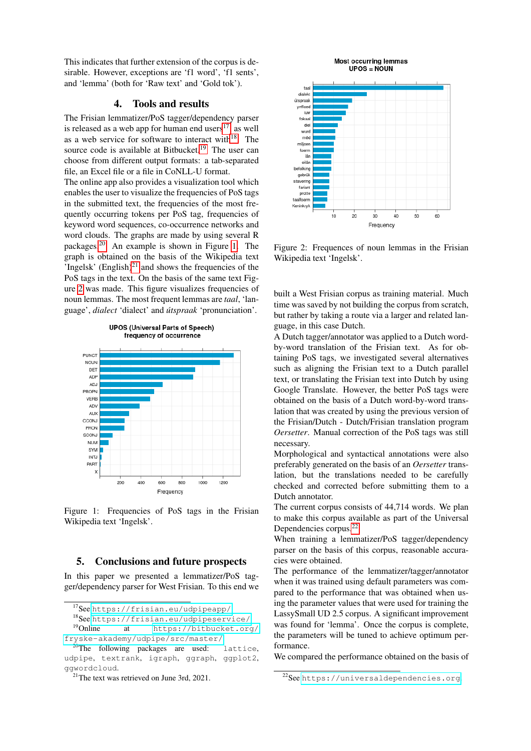This indicates that further extension of the corpus is desirable. However, exceptions are 'f1 word', 'f1 sents', and 'lemma' (both for 'Raw text' and 'Gold tok').

## 4. Tools and results

<span id="page-6-0"></span>The Frisian lemmatizer/PoS tagger/dependency parser is released as a web app for human end users $^{17}$  $^{17}$  $^{17}$ , as well as a web service for software to interact with $18$ . The source code is available at Bitbucket.<sup>[19](#page-6-4)</sup> The user can choose from different output formats: a tab-separated file, an Excel file or a file in CoNLL-U format.

The online app also provides a visualization tool which enables the user to visualize the frequencies of PoS tags in the submitted text, the frequencies of the most frequently occurring tokens per PoS tag, frequencies of keyword word sequences, co-occurrence networks and word clouds. The graphs are made by using several R packages.[20](#page-6-5) An example is shown in Figure [1.](#page-6-6) The graph is obtained on the basis of the Wikipedia text 'Ingelsk'  $(English)^{21}$  $(English)^{21}$  $(English)^{21}$  and shows the frequencies of the PoS tags in the text. On the basis of the same text Figure [2](#page-6-8) was made. This figure visualizes frequencies of noun lemmas. The most frequent lemmas are *taal*, 'language', *dialect* 'dialect' and *utspraak ´* 'pronunciation'.



<span id="page-6-6"></span>Figure 1: Frequencies of PoS tags in the Frisian Wikipedia text 'Ingelsk'.

## <span id="page-6-1"></span>5. Conclusions and future prospects

In this paper we presented a lemmatizer/PoS tagger/dependency parser for West Frisian. To this end we



<span id="page-6-8"></span>Figure 2: Frequences of noun lemmas in the Frisian Wikipedia text 'Ingelsk'.

built a West Frisian corpus as training material. Much time was saved by not building the corpus from scratch, but rather by taking a route via a larger and related language, in this case Dutch.

A Dutch tagger/annotator was applied to a Dutch wordby-word translation of the Frisian text. As for obtaining PoS tags, we investigated several alternatives such as aligning the Frisian text to a Dutch parallel text, or translating the Frisian text into Dutch by using Google Translate. However, the better PoS tags were obtained on the basis of a Dutch word-by-word translation that was created by using the previous version of the Frisian/Dutch - Dutch/Frisian translation program *Oersetter*. Manual correction of the PoS tags was still necessary.

Morphological and syntactical annotations were also preferably generated on the basis of an *Oersetter* translation, but the translations needed to be carefully checked and corrected before submitting them to a Dutch annotator.

The current corpus consists of 44,714 words. We plan to make this corpus available as part of the Universal Dependencies corpus.[22](#page-6-9)

When training a lemmatizer/PoS tagger/dependency parser on the basis of this corpus, reasonable accuracies were obtained.

The performance of the lemmatizer/tagger/annotator when it was trained using default parameters was compared to the performance that was obtained when using the parameter values that were used for training the LassySmall UD 2.5 corpus. A significant improvement was found for 'lemma'. Once the corpus is complete, the parameters will be tuned to achieve optimum performance.

We compared the performance obtained on the basis of

<span id="page-6-2"></span><sup>17</sup>See <https://frisian.eu/udpipeapp/>.

<span id="page-6-4"></span><span id="page-6-3"></span>

<sup>&</sup>lt;sup>18</sup>See <https://frisian.eu/udpipeservice/>.<br><sup>19</sup>Online at https://bitbucket.org at [https://bitbucket.org/](https://bitbucket.org/fryske-akademy/udpipe/src/master/) [fryske-akademy/udpipe/src/master/](https://bitbucket.org/fryske-akademy/udpipe/src/master/).

<span id="page-6-5"></span><sup>&</sup>lt;sup>20</sup>The following packages are used: lattice, udpipe, textrank, igraph, ggraph, ggplot2, ggwordcloud.

<span id="page-6-7"></span> $21$ The text was retrieved on June 3rd, 2021.

<span id="page-6-9"></span><sup>22</sup>See <https://universaldependencies.org>.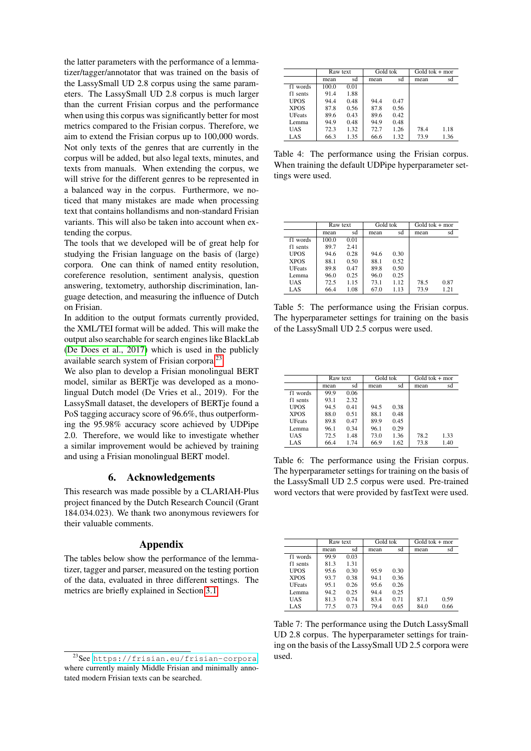the latter parameters with the performance of a lemmatizer/tagger/annotator that was trained on the basis of the LassySmall UD 2.8 corpus using the same parameters. The LassySmall UD 2.8 corpus is much larger than the current Frisian corpus and the performance when using this corpus was significantly better for most metrics compared to the Frisian corpus. Therefore, we aim to extend the Frisian corpus up to 100,000 words. Not only texts of the genres that are currently in the corpus will be added, but also legal texts, minutes, and texts from manuals. When extending the corpus, we will strive for the different genres to be represented in a balanced way in the corpus. Furthermore, we noticed that many mistakes are made when processing text that contains hollandisms and non-standard Frisian variants. This will also be taken into account when extending the corpus.

The tools that we developed will be of great help for studying the Frisian language on the basis of (large) corpora. One can think of named entity resolution, coreference resolution, sentiment analysis, question answering, textometry, authorship discrimination, language detection, and measuring the influence of Dutch on Frisian.

In addition to the output formats currently provided, the XML/TEI format will be added. This will make the output also searchable for search engines like BlackLab [\(De Does et al., 2017\)](#page-8-19) which is used in the publicly available search system of Frisian corpora.[23](#page-7-4)

We also plan to develop a Frisian monolingual BERT model, similar as BERTje was developed as a monolingual Dutch model (De Vries et al., 2019). For the LassySmall dataset, the developers of BERTje found a PoS tagging accuracy score of 96.6%, thus outperforming the 95.98% accuracy score achieved by UDPipe 2.0. Therefore, we would like to investigate whether a similar improvement would be achieved by training and using a Frisian monolingual BERT model.

#### 6. Acknowledgements

This research was made possible by a CLARIAH-Plus project financed by the Dutch Research Council (Grant 184.034.023). We thank two anonymous reviewers for their valuable comments.

#### Appendix

The tables below show the performance of the lemmatizer, tagger and parser, measured on the testing portion of the data, evaluated in three different settings. The metrics are briefly explained in Section [3.1.](#page-5-5)

|               | Raw text |      | Gold tok |      | $Gold tok + mor$ |      |
|---------------|----------|------|----------|------|------------------|------|
|               | mean     | sd   | mean     | sd   | mean             | sd   |
| f1 words      | 100.0    | 0.01 |          |      |                  |      |
| f1 sents      | 91.4     | 1.88 |          |      |                  |      |
| <b>UPOS</b>   | 94.4     | 0.48 | 94.4     | 0.47 |                  |      |
| <b>XPOS</b>   | 87.8     | 0.56 | 87.8     | 0.56 |                  |      |
| <b>UFeats</b> | 89.6     | 0.43 | 89.6     | 0.42 |                  |      |
| Lemma         | 94.9     | 0.48 | 94.9     | 0.48 |                  |      |
| UAS           | 72.3     | 1.32 | 72.7     | 1.26 | 78.4             | 1.18 |
| LAS           | 66.3     | 1.35 | 66.6     | 1.32 | 73.9             | 1.36 |

<span id="page-7-0"></span>Table 4: The performance using the Frisian corpus. When training the default UDPipe hyperparameter settings were used.

|               | Raw text |      | Gold tok |      | Gold to $k + mor$ |      |
|---------------|----------|------|----------|------|-------------------|------|
|               | mean     | sd   | mean     | sd   | mean              | sd   |
| f1 words      | 100.0    | 0.01 |          |      |                   |      |
| f1 sents      | 89.7     | 2.41 |          |      |                   |      |
| <b>UPOS</b>   | 94.6     | 0.28 | 94.6     | 0.30 |                   |      |
| <b>XPOS</b>   | 88.1     | 0.50 | 88.1     | 0.52 |                   |      |
| <b>UFeats</b> | 89.8     | 0.47 | 89.8     | 0.50 |                   |      |
| Lemma         | 96.0     | 0.25 | 96.0     | 0.25 |                   |      |
| UAS           | 72.5     | 1.15 | 73.1     | 1.12 | 78.5              | 0.87 |
| LAS           | 66.4     | 1.08 | 67.0     | 1.13 | 73.9              | 1.21 |

<span id="page-7-1"></span>Table 5: The performance using the Frisian corpus. The hyperparameter settings for training on the basis of the LassySmall UD 2.5 corpus were used.

|               | Raw text |      | Gold tok |      | $Gold tok + mor$ |      |
|---------------|----------|------|----------|------|------------------|------|
|               | mean     | sd   | mean     | sd   | mean             | sd   |
| f1 words      | 99.9     | 0.06 |          |      |                  |      |
| f1 sents      | 93.1     | 2.32 |          |      |                  |      |
| <b>UPOS</b>   | 94.5     | 0.41 | 94.5     | 0.38 |                  |      |
| XPOS          | 88.0     | 0.51 | 88.1     | 0.48 |                  |      |
| <b>UFeats</b> | 89.8     | 0.47 | 89.9     | 0.45 |                  |      |
| Lemma         | 96.1     | 0.34 | 96.1     | 0.29 |                  |      |
| UAS           | 72.5     | 1.48 | 73.0     | 1.36 | 78.2             | 1.33 |
| LAS           | 66.4     | 1.74 | 66.9     | 1.62 | 73.8             | 1.40 |

<span id="page-7-2"></span>Table 6: The performance using the Frisian corpus. The hyperparameter settings for training on the basis of the LassySmall UD 2.5 corpus were used. Pre-trained word vectors that were provided by fastText were used.

|               | Raw text |      | Gold tok |      | $Gold tok + mor$ |      |
|---------------|----------|------|----------|------|------------------|------|
|               | mean     | sđ   | mean     | sd   | mean             | sd   |
| f1 words      | 99.9     | 0.03 |          |      |                  |      |
| f1 sents      | 81.3     | 1.31 |          |      |                  |      |
| <b>UPOS</b>   | 95.6     | 0.30 | 95.9     | 0.30 |                  |      |
| <b>XPOS</b>   | 93.7     | 0.38 | 94.1     | 0.36 |                  |      |
| <b>UFeats</b> | 95.1     | 0.26 | 95.6     | 0.26 |                  |      |
| Lemma         | 94.2     | 0.25 | 94.4     | 0.25 |                  |      |
| UAS           | 81.3     | 0.74 | 83.4     | 0.71 | 87.1             | 0.59 |
| LAS           | 77.5     | 0.73 | 79.4     | 0.65 | 84.0             | 0.66 |

<span id="page-7-3"></span>Table 7: The performance using the Dutch LassySmall UD 2.8 corpus. The hyperparameter settings for training on the basis of the LassySmall UD 2.5 corpora were used.

<span id="page-7-4"></span><sup>23</sup>See <https://frisian.eu/frisian-corpora>, where currently mainly Middle Frisian and minimally annotated modern Frisian texts can be searched.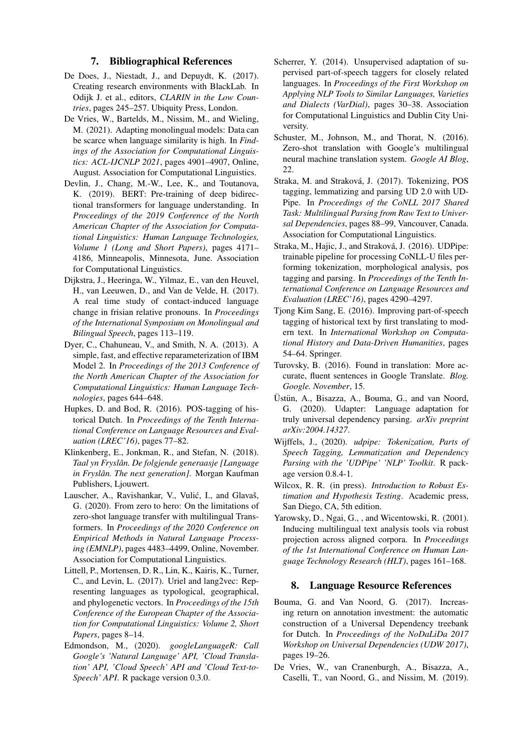#### 7. Bibliographical References

- <span id="page-8-19"></span>De Does, J., Niestadt, J., and Depuydt, K. (2017). Creating research environments with BlackLab. In Odijk J. et al., editors, *CLARIN in the Low Countries*, pages 245–257. Ubiquity Press, London.
- <span id="page-8-4"></span>De Vries, W., Bartelds, M., Nissim, M., and Wieling, M. (2021). Adapting monolingual models: Data can be scarce when language similarity is high. In *Findings of the Association for Computational Linguistics: ACL-IJCNLP 2021*, pages 4901–4907, Online, August. Association for Computational Linguistics.
- <span id="page-8-1"></span>Devlin, J., Chang, M.-W., Lee, K., and Toutanova, K. (2019). BERT: Pre-training of deep bidirectional transformers for language understanding. In *Proceedings of the 2019 Conference of the North American Chapter of the Association for Computational Linguistics: Human Language Technologies, Volume 1 (Long and Short Papers)*, pages 4171– 4186, Minneapolis, Minnesota, June. Association for Computational Linguistics.
- <span id="page-8-10"></span>Dijkstra, J., Heeringa, W., Yilmaz, E., van den Heuvel, H., van Leeuwen, D., and Van de Velde, H. (2017). A real time study of contact-induced language change in frisian relative pronouns. In *Proceedings of the International Symposium on Monolingual and Bilingual Speech*, pages 113–119.
- <span id="page-8-17"></span>Dyer, C., Chahuneau, V., and Smith, N. A. (2013). A simple, fast, and effective reparameterization of IBM Model 2. In *Proceedings of the 2013 Conference of the North American Chapter of the Association for Computational Linguistics: Human Language Technologies*, pages 644–648.
- <span id="page-8-8"></span>Hupkes, D. and Bod, R. (2016). POS-tagging of historical Dutch. In *Proceedings of the Tenth International Conference on Language Resources and Evaluation (LREC'16)*, pages 77–82.
- <span id="page-8-0"></span>Klinkenberg, E., Jonkman, R., and Stefan, N. (2018). *Taal yn Fryslan. De folgjende generaasje [Language ˆ in Fryslân. The next generation]*. Morgan Kaufman Publishers, Ljouwert.
- <span id="page-8-5"></span>Lauscher, A., Ravishankar, V., Vulić, I., and Glavaš, G. (2020). From zero to hero: On the limitations of zero-shot language transfer with multilingual Transformers. In *Proceedings of the 2020 Conference on Empirical Methods in Natural Language Processing (EMNLP)*, pages 4483–4499, Online, November. Association for Computational Linguistics.
- <span id="page-8-3"></span>Littell, P., Mortensen, D. R., Lin, K., Kairis, K., Turner, C., and Levin, L. (2017). Uriel and lang2vec: Representing languages as typological, geographical, and phylogenetic vectors. In *Proceedings of the 15th Conference of the European Chapter of the Association for Computational Linguistics: Volume 2, Short Papers*, pages 8–14.
- <span id="page-8-15"></span>Edmondson, M., (2020). *googleLanguageR: Call Google's 'Natural Language' API, 'Cloud Translation' API, 'Cloud Speech' API and 'Cloud Text-to-Speech' API*. R package version 0.3.0.
- <span id="page-8-6"></span>Scherrer, Y. (2014). Unsupervised adaptation of supervised part-of-speech taggers for closely related languages. In *Proceedings of the First Workshop on Applying NLP Tools to Similar Languages, Varieties and Dialects (VarDial)*, pages 30–38. Association for Computational Linguistics and Dublin City University.
- <span id="page-8-14"></span>Schuster, M., Johnson, M., and Thorat, N. (2016). Zero-shot translation with Google's multilingual neural machine translation system. *Google AI Blog*, 22.
- <span id="page-8-13"></span>Straka, M. and Straková, J. (2017). Tokenizing, POS tagging, lemmatizing and parsing UD 2.0 with UD-Pipe. In *Proceedings of the CoNLL 2017 Shared Task: Multilingual Parsing from Raw Text to Universal Dependencies*, pages 88–99, Vancouver, Canada. Association for Computational Linguistics.
- <span id="page-8-12"></span>Straka, M., Hajic, J., and Straková, J. (2016). UDPipe: trainable pipeline for processing CoNLL-U files performing tokenization, morphological analysis, pos tagging and parsing. In *Proceedings of the Tenth International Conference on Language Resources and Evaluation (LREC'16)*, pages 4290–4297.
- <span id="page-8-7"></span>Tjong Kim Sang, E. (2016). Improving part-of-speech tagging of historical text by first translating to modern text. In *International Workshop on Computational History and Data-Driven Humanities*, pages 54–64. Springer.
- <span id="page-8-16"></span>Turovsky, B. (2016). Found in translation: More accurate, fluent sentences in Google Translate. *Blog. Google. November*, 15.
- <span id="page-8-2"></span>Üstün, A., Bisazza, A., Bouma, G., and van Noord, G. (2020). Udapter: Language adaptation for truly universal dependency parsing. *arXiv preprint arXiv:2004.14327*.
- <span id="page-8-11"></span>Wijffels, J., (2020). *udpipe: Tokenization, Parts of Speech Tagging, Lemmatization and Dependency Parsing with the 'UDPipe' 'NLP' Toolkit*. R package version 0.8.4-1.
- <span id="page-8-18"></span>Wilcox, R. R. (in press). *Introduction to Robust Estimation and Hypothesis Testing*. Academic press, San Diego, CA, 5th edition.
- <span id="page-8-9"></span>Yarowsky, D., Ngai, G., , and Wicentowski, R. (2001). Inducing multilingual text analysis tools via robust projection across aligned corpora. In *Proceedings of the 1st International Conference on Human Language Technology Research (HLT)*, pages 161–168.

#### 8. Language Resource References

- Bouma, G. and Van Noord, G. (2017). Increasing return on annotation investment: the automatic construction of a Universal Dependency treebank for Dutch. In *Proceedings of the NoDaLiDa 2017 Workshop on Universal Dependencies (UDW 2017)*, pages 19–26.
- De Vries, W., van Cranenburgh, A., Bisazza, A., Caselli, T., van Noord, G., and Nissim, M. (2019).